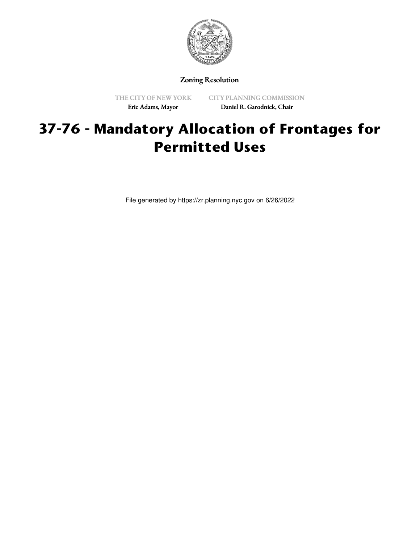

Zoning Resolution

THE CITY OF NEW YORK Eric Adams, Mayor

CITY PLANNING COMMISSION Daniel R. Garodnick, Chair

# **37-76 - Mandatory Allocation of Frontages for Permitted Uses**

File generated by https://zr.planning.nyc.gov on 6/26/2022